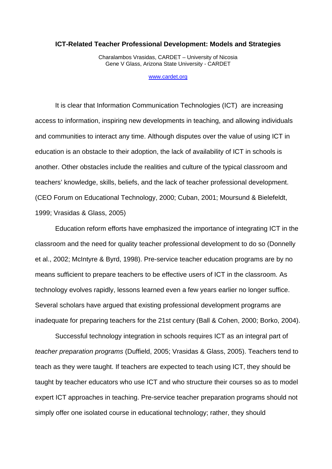#### **ICT-Related Teacher Professional Development: Models and Strategies**

Charalambos Vrasidas, CARDET – University of Nicosia Gene V Glass, Arizona State University - CARDET

www.cardet.org

It is clear that Information Communication Technologies (ICT) are increasing access to information, inspiring new developments in teaching, and allowing individuals and communities to interact any time. Although disputes over the value of using ICT in education is an obstacle to their adoption, the lack of availability of ICT in schools is another. Other obstacles include the realities and culture of the typical classroom and teachers' knowledge, skills, beliefs, and the lack of teacher professional development. (CEO Forum on Educational Technology, 2000; Cuban, 2001; Moursund & Bielefeldt, 1999; Vrasidas & Glass, 2005)

Education reform efforts have emphasized the importance of integrating ICT in the classroom and the need for quality teacher professional development to do so (Donnelly et al., 2002; McIntyre & Byrd, 1998). Pre-service teacher education programs are by no means sufficient to prepare teachers to be effective users of ICT in the classroom. As technology evolves rapidly, lessons learned even a few years earlier no longer suffice. Several scholars have argued that existing professional development programs are inadequate for preparing teachers for the 21st century (Ball & Cohen, 2000; Borko, 2004).

Successful technology integration in schools requires ICT as an integral part of *teacher preparation programs* (Duffield, 2005; Vrasidas & Glass, 2005). Teachers tend to teach as they were taught. If teachers are expected to teach using ICT, they should be taught by teacher educators who use ICT and who structure their courses so as to model expert ICT approaches in teaching. Pre-service teacher preparation programs should not simply offer one isolated course in educational technology; rather, they should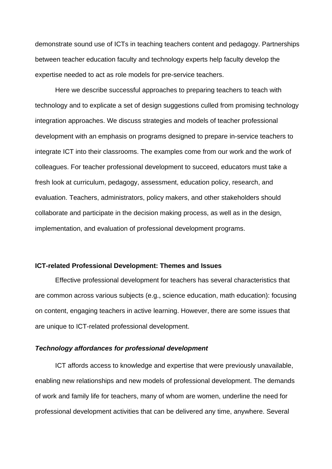demonstrate sound use of ICTs in teaching teachers content and pedagogy. Partnerships between teacher education faculty and technology experts help faculty develop the expertise needed to act as role models for pre-service teachers.

Here we describe successful approaches to preparing teachers to teach with technology and to explicate a set of design suggestions culled from promising technology integration approaches. We discuss strategies and models of teacher professional development with an emphasis on programs designed to prepare in-service teachers to integrate ICT into their classrooms. The examples come from our work and the work of colleagues. For teacher professional development to succeed, educators must take a fresh look at curriculum, pedagogy, assessment, education policy, research, and evaluation. Teachers, administrators, policy makers, and other stakeholders should collaborate and participate in the decision making process, as well as in the design, implementation, and evaluation of professional development programs.

### **ICT-related Professional Development: Themes and Issues**

Effective professional development for teachers has several characteristics that are common across various subjects (e.g., science education, math education): focusing on content, engaging teachers in active learning. However, there are some issues that are unique to ICT-related professional development.

### *Technology affordances for professional development*

ICT affords access to knowledge and expertise that were previously unavailable, enabling new relationships and new models of professional development. The demands of work and family life for teachers, many of whom are women, underline the need for professional development activities that can be delivered any time, anywhere. Several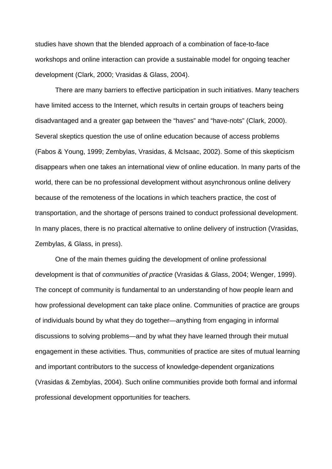studies have shown that the blended approach of a combination of face-to-face workshops and online interaction can provide a sustainable model for ongoing teacher development (Clark, 2000; Vrasidas & Glass, 2004).

There are many barriers to effective participation in such initiatives. Many teachers have limited access to the Internet, which results in certain groups of teachers being disadvantaged and a greater gap between the "haves" and "have-nots" (Clark, 2000). Several skeptics question the use of online education because of access problems (Fabos & Young, 1999; Zembylas, Vrasidas, & McIsaac, 2002). Some of this skepticism disappears when one takes an international view of online education. In many parts of the world, there can be no professional development without asynchronous online delivery because of the remoteness of the locations in which teachers practice, the cost of transportation, and the shortage of persons trained to conduct professional development. In many places, there is no practical alternative to online delivery of instruction (Vrasidas, Zembylas, & Glass, in press).

One of the main themes guiding the development of online professional development is that of *communities of practice* (Vrasidas & Glass, 2004; Wenger, 1999). The concept of community is fundamental to an understanding of how people learn and how professional development can take place online. Communities of practice are groups of individuals bound by what they do together—anything from engaging in informal discussions to solving problems—and by what they have learned through their mutual engagement in these activities. Thus, communities of practice are sites of mutual learning and important contributors to the success of knowledge-dependent organizations (Vrasidas & Zembylas, 2004). Such online communities provide both formal and informal professional development opportunities for teachers.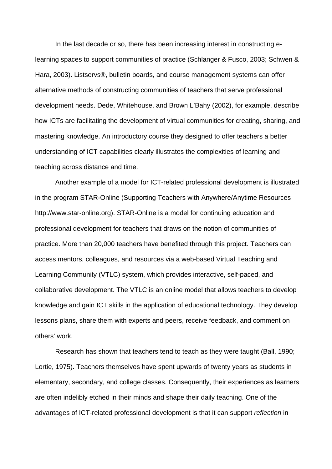In the last decade or so, there has been increasing interest in constructing elearning spaces to support communities of practice (Schlanger & Fusco, 2003; Schwen & Hara, 2003). Listservs®, bulletin boards, and course management systems can offer alternative methods of constructing communities of teachers that serve professional development needs. Dede, Whitehouse, and Brown L'Bahy (2002), for example, describe how ICTs are facilitating the development of virtual communities for creating, sharing, and mastering knowledge. An introductory course they designed to offer teachers a better understanding of ICT capabilities clearly illustrates the complexities of learning and teaching across distance and time.

Another example of a model for ICT-related professional development is illustrated in the program STAR-Online (Supporting Teachers with Anywhere/Anytime Resources http://www.star-online.org). STAR-Online is a model for continuing education and professional development for teachers that draws on the notion of communities of practice. More than 20,000 teachers have benefited through this project. Teachers can access mentors, colleagues, and resources via a web-based Virtual Teaching and Learning Community (VTLC) system, which provides interactive, self-paced, and collaborative development. The VTLC is an online model that allows teachers to develop knowledge and gain ICT skills in the application of educational technology. They develop lessons plans, share them with experts and peers, receive feedback, and comment on others' work.

Research has shown that teachers tend to teach as they were taught (Ball, 1990; Lortie, 1975). Teachers themselves have spent upwards of twenty years as students in elementary, secondary, and college classes. Consequently, their experiences as learners are often indelibly etched in their minds and shape their daily teaching. One of the advantages of ICT-related professional development is that it can support *reflection* in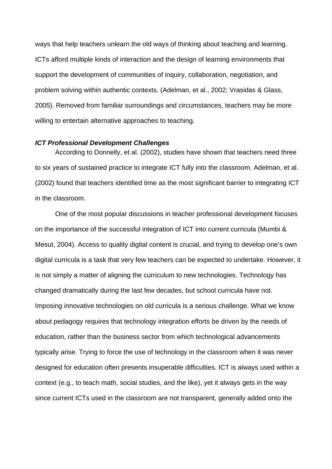ways that help teachers unlearn the old ways of thinking about teaching and learning. ICTs afford multiple kinds of interaction and the design of learning environments that support the development of communities of inquiry, collaboration, negotiation, and problem solving within authentic contexts. (Adelman, et al., 2002; Vrasidas & Glass, 2005). Removed from familiar surroundings and circumstances, teachers may be more willing to entertain alternative approaches to teaching.

### *ICT Professional Development Challenges*

According to Donnelly, et al. (2002), studies have shown that teachers need three to six years of sustained practice to integrate ICT fully into the classroom. Adelman, et al. (2002) found that teachers identified time as the most significant barrier to integrating ICT in the classroom.

One of the most popular discussions in teacher professional development focuses on the importance of the successful integration of ICT into current curricula (Mumbi & Mesut, 2004). Access to quality digital content is crucial, and trying to develop one's own digital curricula is a task that very few teachers can be expected to undertake. However, it is not simply a matter of aligning the curriculum to new technologies. Technology has changed dramatically during the last few decades, but school curricula have not. Imposing innovative technologies on old curricula is a serious challenge. What we know about pedagogy requires that technology integration efforts be driven by the needs of education, rather than the business sector from which technological advancements typically arise. Trying to force the use of technology in the classroom when it was never designed for education often presents insuperable difficulties. ICT is always used within a context (e.g., to teach math, social studies, and the like), yet it always gets in the way since current ICTs used in the classroom are not transparent, generally added onto the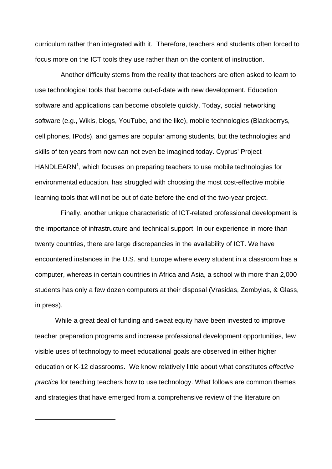curriculum rather than integrated with it. Therefore, teachers and students often forced to focus more on the ICT tools they use rather than on the content of instruction.

 Another difficulty stems from the reality that teachers are often asked to learn to use technological tools that become out-of-date with new development. Education software and applications can become obsolete quickly. Today, social networking software (e.g., Wikis, blogs, YouTube, and the like), mobile technologies (Blackberrys, cell phones, IPods), and games are popular among students, but the technologies and skills of ten years from now can not even be imagined today. Cyprus' Project  $HANDLEARN<sup>1</sup>$ , which focuses on preparing teachers to use mobile technologies for environmental education, has struggled with choosing the most cost-effective mobile learning tools that will not be out of date before the end of the two-year project.

 Finally, another unique characteristic of ICT-related professional development is the importance of infrastructure and technical support. In our experience in more than twenty countries, there are large discrepancies in the availability of ICT. We have encountered instances in the U.S. and Europe where every student in a classroom has a computer, whereas in certain countries in Africa and Asia, a school with more than 2,000 students has only a few dozen computers at their disposal (Vrasidas, Zembylas, & Glass, in press).

While a great deal of funding and sweat equity have been invested to improve teacher preparation programs and increase professional development opportunities, few visible uses of technology to meet educational goals are observed in either higher education or K-12 classrooms. We know relatively little about what constitutes *effective practice* for teaching teachers how to use technology. What follows are common themes and strategies that have emerged from a comprehensive review of the literature on

1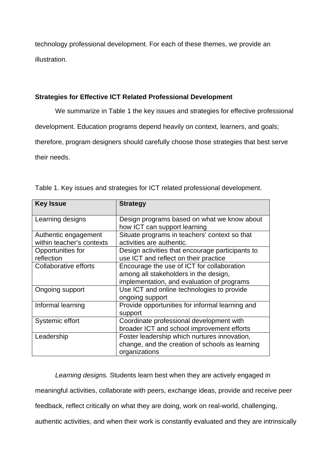technology professional development. For each of these themes, we provide an illustration.

# **Strategies for Effective ICT Related Professional Development**

We summarize in Table 1 the key issues and strategies for effective professional

development. Education programs depend heavily on context, learners, and goals;

therefore, program designers should carefully choose those strategies that best serve

their needs.

| <b>Strategy</b>                                  |
|--------------------------------------------------|
| Design programs based on what we know about      |
| how ICT can support learning                     |
| Situate programs in teachers' context so that    |
| activities are authentic.                        |
| Design activities that encourage participants to |
| use ICT and reflect on their practice            |
| Encourage the use of ICT for collaboration       |
| among all stakeholders in the design,            |
| implementation, and evaluation of programs       |
| Use ICT and online technologies to provide       |
| ongoing support                                  |
| Provide opportunities for informal learning and  |
| support                                          |
| Coordinate professional development with         |
| broader ICT and school improvement efforts       |
| Foster leadership which nurtures innovation,     |
| change, and the creation of schools as learning  |
| organizations                                    |
|                                                  |

Table 1. Key issues and strategies for ICT related professional development.

*Learning designs.* Students learn best when they are actively engaged in meaningful activities, collaborate with peers, exchange ideas, provide and receive peer feedback, reflect critically on what they are doing, work on real-world, challenging, authentic activities, and when their work is constantly evaluated and they are intrinsically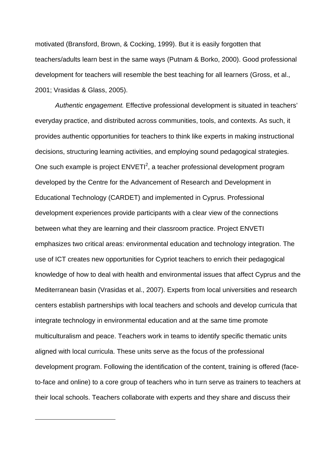motivated (Bransford, Brown, & Cocking, 1999). But it is easily forgotten that teachers/adults learn best in the same ways (Putnam & Borko, 2000). Good professional development for teachers will resemble the best teaching for all learners (Gross, et al., 2001; Vrasidas & Glass, 2005).

*Authentic engagement.* Effective professional development is situated in teachers' everyday practice, and distributed across communities, tools, and contexts. As such, it provides authentic opportunities for teachers to think like experts in making instructional decisions, structuring learning activities, and employing sound pedagogical strategies. One such example is project  $ENVETI<sup>2</sup>$ , a teacher professional development program developed by the Centre for the Advancement of Research and Development in Educational Technology (CARDET) and implemented in Cyprus. Professional development experiences provide participants with a clear view of the connections between what they are learning and their classroom practice. Project ENVETI emphasizes two critical areas: environmental education and technology integration. The use of ICT creates new opportunities for Cypriot teachers to enrich their pedagogical knowledge of how to deal with health and environmental issues that affect Cyprus and the Mediterranean basin (Vrasidas et al., 2007). Experts from local universities and research centers establish partnerships with local teachers and schools and develop curricula that integrate technology in environmental education and at the same time promote multiculturalism and peace. Teachers work in teams to identify specific thematic units aligned with local curricula. These units serve as the focus of the professional development program. Following the identification of the content, training is offered (faceto-face and online) to a core group of teachers who in turn serve as trainers to teachers at their local schools. Teachers collaborate with experts and they share and discuss their

1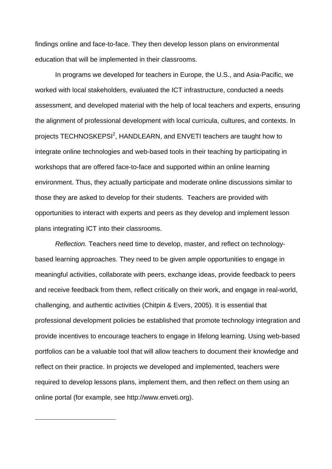findings online and face-to-face. They then develop lesson plans on environmental education that will be implemented in their classrooms.

In programs we developed for teachers in Europe, the U.S., and Asia-Pacific, we worked with local stakeholders, evaluated the ICT infrastructure, conducted a needs assessment, and developed material with the help of local teachers and experts, ensuring the alignment of professional development with local curricula, cultures, and contexts. In projects TECHNOSKEPSI<sup>2</sup>, HANDLEARN, and ENVETI teachers are taught how to integrate online technologies and web-based tools in their teaching by participating in workshops that are offered face-to-face and supported within an online learning environment. Thus, they actually participate and moderate online discussions similar to those they are asked to develop for their students. Teachers are provided with opportunities to interact with experts and peers as they develop and implement lesson plans integrating ICT into their classrooms.

*Reflection.* Teachers need time to develop, master, and reflect on technologybased learning approaches. They need to be given ample opportunities to engage in meaningful activities, collaborate with peers, exchange ideas, provide feedback to peers and receive feedback from them, reflect critically on their work, and engage in real-world, challenging, and authentic activities (Chitpin & Evers, 2005). It is essential that professional development policies be established that promote technology integration and provide incentives to encourage teachers to engage in lifelong learning. Using web-based portfolios can be a valuable tool that will allow teachers to document their knowledge and reflect on their practice. In projects we developed and implemented, teachers were required to develop lessons plans, implement them, and then reflect on them using an online portal (for example, see http://www.enveti.org).

1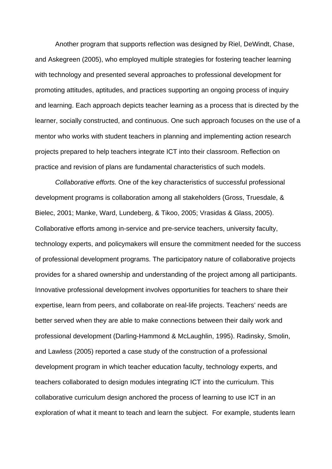Another program that supports reflection was designed by Riel, DeWindt, Chase, and Askegreen (2005), who employed multiple strategies for fostering teacher learning with technology and presented several approaches to professional development for promoting attitudes, aptitudes, and practices supporting an ongoing process of inquiry and learning. Each approach depicts teacher learning as a process that is directed by the learner, socially constructed, and continuous. One such approach focuses on the use of a mentor who works with student teachers in planning and implementing action research projects prepared to help teachers integrate ICT into their classroom. Reflection on practice and revision of plans are fundamental characteristics of such models.

*Collaborative efforts.* One of the key characteristics of successful professional development programs is collaboration among all stakeholders (Gross, Truesdale, & Bielec, 2001; Manke, Ward, Lundeberg, & Tikoo, 2005; Vrasidas & Glass, 2005). Collaborative efforts among in-service and pre-service teachers, university faculty, technology experts, and policymakers will ensure the commitment needed for the success of professional development programs. The participatory nature of collaborative projects provides for a shared ownership and understanding of the project among all participants. Innovative professional development involves opportunities for teachers to share their expertise, learn from peers, and collaborate on real-life projects. Teachers' needs are better served when they are able to make connections between their daily work and professional development (Darling-Hammond & McLaughlin, 1995). Radinsky, Smolin, and Lawless (2005) reported a case study of the construction of a professional development program in which teacher education faculty, technology experts, and teachers collaborated to design modules integrating ICT into the curriculum. This collaborative curriculum design anchored the process of learning to use ICT in an exploration of what it meant to teach and learn the subject. For example, students learn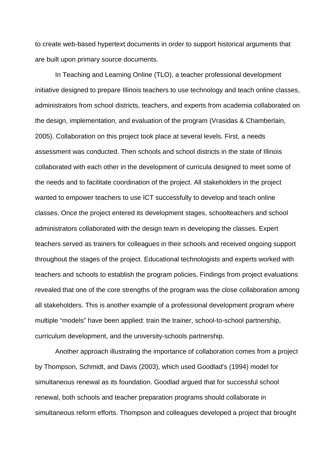to create web-based hypertext documents in order to support historical arguments that are built upon primary source documents.

In Teaching and Learning Online (TLO), a teacher professional development initiative designed to prepare Illinois teachers to use technology and teach online classes, administrators from school districts, teachers, and experts from academia collaborated on the design, implementation, and evaluation of the program (Vrasidas & Chamberlain, 2005). Collaboration on this project took place at several levels. First, a needs assessment was conducted. Then schools and school districts in the state of Illinois collaborated with each other in the development of curricula designed to meet some of the needs and to facilitate coordination of the project. All stakeholders in the project wanted to empower teachers to use ICT successfully to develop and teach online classes. Once the project entered its development stages, schoolteachers and school administrators collaborated with the design team in developing the classes. Expert teachers served as trainers for colleagues in their schools and received ongoing support throughout the stages of the project. Educational technologists and experts worked with teachers and schools to establish the program policies. Findings from project evaluations revealed that one of the core strengths of the program was the close collaboration among all stakeholders. This is another example of a professional development program where multiple "models" have been applied: train the trainer, school-to-school partnership, curriculum development, and the university-schools partnership.

Another approach illustrating the importance of collaboration comes from a project by Thompson, Schmidt, and Davis (2003), which used Goodlad's (1994) model for simultaneous renewal as its foundation. Goodlad argued that for successful school renewal, both schools and teacher preparation programs should collaborate in simultaneous reform efforts. Thompson and colleagues developed a project that brought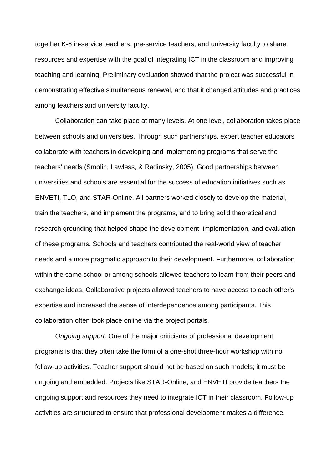together K-6 in-service teachers, pre-service teachers, and university faculty to share resources and expertise with the goal of integrating ICT in the classroom and improving teaching and learning. Preliminary evaluation showed that the project was successful in demonstrating effective simultaneous renewal, and that it changed attitudes and practices among teachers and university faculty.

Collaboration can take place at many levels. At one level, collaboration takes place between schools and universities. Through such partnerships, expert teacher educators collaborate with teachers in developing and implementing programs that serve the teachers' needs (Smolin, Lawless, & Radinsky, 2005). Good partnerships between universities and schools are essential for the success of education initiatives such as ENVETI, TLO, and STAR-Online. All partners worked closely to develop the material, train the teachers, and implement the programs, and to bring solid theoretical and research grounding that helped shape the development, implementation, and evaluation of these programs. Schools and teachers contributed the real-world view of teacher needs and a more pragmatic approach to their development. Furthermore, collaboration within the same school or among schools allowed teachers to learn from their peers and exchange ideas. Collaborative projects allowed teachers to have access to each other's expertise and increased the sense of interdependence among participants. This collaboration often took place online via the project portals.

*Ongoing support.* One of the major criticisms of professional development programs is that they often take the form of a one-shot three-hour workshop with no follow-up activities. Teacher support should not be based on such models; it must be ongoing and embedded. Projects like STAR-Online, and ENVETI provide teachers the ongoing support and resources they need to integrate ICT in their classroom. Follow-up activities are structured to ensure that professional development makes a difference.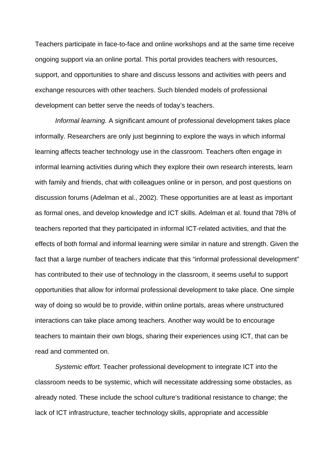Teachers participate in face-to-face and online workshops and at the same time receive ongoing support via an online portal. This portal provides teachers with resources, support, and opportunities to share and discuss lessons and activities with peers and exchange resources with other teachers. Such blended models of professional development can better serve the needs of today's teachers.

*Informal learning.* A significant amount of professional development takes place informally. Researchers are only just beginning to explore the ways in which informal learning affects teacher technology use in the classroom. Teachers often engage in informal learning activities during which they explore their own research interests, learn with family and friends, chat with colleagues online or in person, and post questions on discussion forums (Adelman et al., 2002). These opportunities are at least as important as formal ones, and develop knowledge and ICT skills. Adelman et al. found that 78% of teachers reported that they participated in informal ICT-related activities, and that the effects of both formal and informal learning were similar in nature and strength. Given the fact that a large number of teachers indicate that this "informal professional development" has contributed to their use of technology in the classroom, it seems useful to support opportunities that allow for informal professional development to take place. One simple way of doing so would be to provide, within online portals, areas where unstructured interactions can take place among teachers. Another way would be to encourage teachers to maintain their own blogs, sharing their experiences using ICT, that can be read and commented on.

*Systemic effort.* Teacher professional development to integrate ICT into the classroom needs to be systemic, which will necessitate addressing some obstacles, as already noted. These include the school culture's traditional resistance to change; the lack of ICT infrastructure, teacher technology skills, appropriate and accessible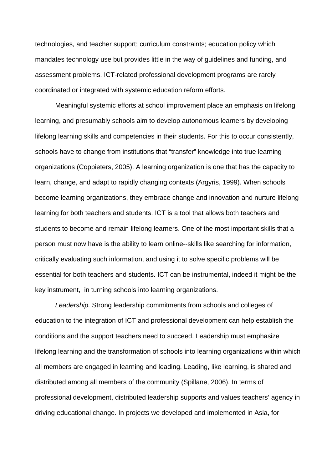technologies, and teacher support; curriculum constraints; education policy which mandates technology use but provides little in the way of guidelines and funding, and assessment problems. ICT-related professional development programs are rarely coordinated or integrated with systemic education reform efforts.

Meaningful systemic efforts at school improvement place an emphasis on lifelong learning, and presumably schools aim to develop autonomous learners by developing lifelong learning skills and competencies in their students. For this to occur consistently, schools have to change from institutions that "transfer" knowledge into true learning organizations (Coppieters, 2005). A learning organization is one that has the capacity to learn, change, and adapt to rapidly changing contexts (Argyris, 1999). When schools become learning organizations, they embrace change and innovation and nurture lifelong learning for both teachers and students. ICT is a tool that allows both teachers and students to become and remain lifelong learners. One of the most important skills that a person must now have is the ability to learn online--skills like searching for information, critically evaluating such information, and using it to solve specific problems will be essential for both teachers and students. ICT can be instrumental, indeed it might be the key instrument, in turning schools into learning organizations.

*Leadership.* Strong leadership commitments from schools and colleges of education to the integration of ICT and professional development can help establish the conditions and the support teachers need to succeed. Leadership must emphasize lifelong learning and the transformation of schools into learning organizations within which all members are engaged in learning and leading. Leading, like learning, is shared and distributed among all members of the community (Spillane, 2006). In terms of professional development, distributed leadership supports and values teachers' agency in driving educational change. In projects we developed and implemented in Asia, for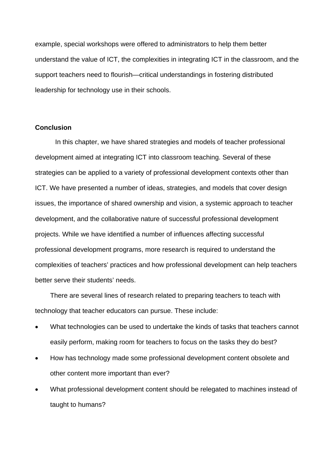example, special workshops were offered to administrators to help them better understand the value of ICT, the complexities in integrating ICT in the classroom, and the support teachers need to flourish—critical understandings in fostering distributed leadership for technology use in their schools.

# **Conclusion**

In this chapter, we have shared strategies and models of teacher professional development aimed at integrating ICT into classroom teaching. Several of these strategies can be applied to a variety of professional development contexts other than ICT. We have presented a number of ideas, strategies, and models that cover design issues, the importance of shared ownership and vision, a systemic approach to teacher development, and the collaborative nature of successful professional development projects. While we have identified a number of influences affecting successful professional development programs, more research is required to understand the complexities of teachers' practices and how professional development can help teachers better serve their students' needs.

There are several lines of research related to preparing teachers to teach with technology that teacher educators can pursue. These include:

- What technologies can be used to undertake the kinds of tasks that teachers cannot easily perform, making room for teachers to focus on the tasks they do best?
- How has technology made some professional development content obsolete and other content more important than ever?
- What professional development content should be relegated to machines instead of taught to humans?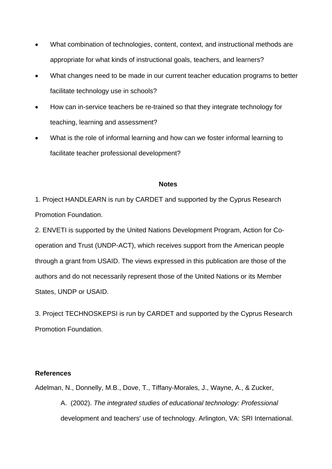- What combination of technologies, content, context, and instructional methods are appropriate for what kinds of instructional goals, teachers, and learners?
- What changes need to be made in our current teacher education programs to better facilitate technology use in schools?
- How can in-service teachers be re-trained so that they integrate technology for teaching, learning and assessment?
- What is the role of informal learning and how can we foster informal learning to facilitate teacher professional development?

# **Notes**

1. Project HANDLEARN is run by CARDET and supported by the Cyprus Research Promotion Foundation.

2. ENVETI is supported by the United Nations Development Program, Action for Cooperation and Trust (UNDP-ACT), which receives support from the American people through a grant from USAID. The views expressed in this publication are those of the authors and do not necessarily represent those of the United Nations or its Member States, UNDP or USAID.

3. Project TECHNOSKEPSI is run by CARDET and supported by the Cyprus Research Promotion Foundation.

# **References**

Adelman, N., Donnelly, M.B., Dove, T., Tiffany-Morales, J., Wayne, A., & Zucker, A. (2002). *The integrated studies of educational technology: Professional*  development and teachers' use of technology. Arlington, VA: SRI International.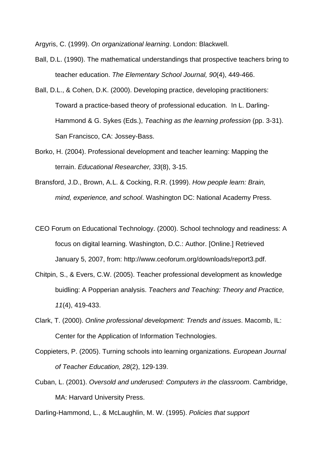Argyris, C. (1999). *On organizational learning*. London: Blackwell.

- Ball, D.L. (1990). The mathematical understandings that prospective teachers bring to teacher education. *The Elementary School Journal, 90*(4), 449-466.
- Ball, D.L., & Cohen, D.K. (2000). Developing practice, developing practitioners: Toward a practice-based theory of professional education. In L. Darling-Hammond & G. Sykes (Eds.), *Teaching as the learning profession* (pp. 3-31). San Francisco, CA: Jossey-Bass.
- Borko, H. (2004). Professional development and teacher learning: Mapping the terrain. *Educational Researcher, 33*(8), 3-15.
- Bransford, J.D., Brown, A.L. & Cocking, R.R. (1999). *How people learn: Brain, mind, experience, and school*. Washington DC: National Academy Press.
- CEO Forum on Educational Technology. (2000). School technology and readiness: A focus on digital learning. Washington, D.C.: Author. [Online.] Retrieved January 5, 2007, from: http://www.ceoforum.org/downloads/report3.pdf.
- Chitpin, S., & Evers, C.W. (2005). Teacher professional development as knowledge buidling: A Popperian analysis. *Teachers and Teaching: Theory and Practice, 11*(4), 419-433.
- Clark, T. (2000). *Online professional development: Trends and issues*. Macomb, IL: Center for the Application of Information Technologies.
- Coppieters, P. (2005). Turning schools into learning organizations. *European Journal of Teacher Education, 28*(2), 129-139.
- Cuban, L. (2001). *Oversold and underused: Computers in the classroom*. Cambridge, MA: Harvard University Press.

Darling-Hammond, L., & McLaughlin, M. W. (1995). *Policies that support*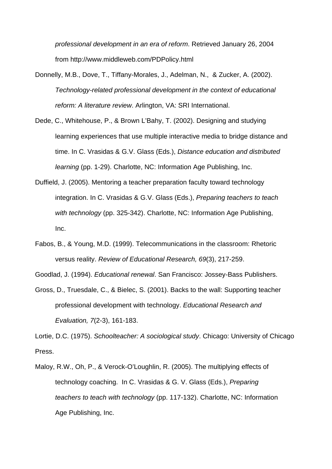*professional development in an era of reform*. Retrieved January 26, 2004 from http://www.middleweb.com/PDPolicy.html

- Donnelly, M.B., Dove, T., Tiffany-Morales, J., Adelman, N., & Zucker, A. (2002). *Technology-related professional development in the context of educational reform: A literature review*. Arlington, VA: SRI International.
- Dede, C., Whitehouse, P., & Brown L'Bahy, T. (2002). Designing and studying learning experiences that use multiple interactive media to bridge distance and time. In C. Vrasidas & G.V. Glass (Eds.), *Distance education and distributed learning* (pp. 1-29). Charlotte, NC: Information Age Publishing, Inc.
- Duffield, J. (2005). Mentoring a teacher preparation faculty toward technology integration. In C. Vrasidas & G.V. Glass (Eds.), *Preparing teachers to teach with technology* (pp. 325-342). Charlotte, NC: Information Age Publishing, Inc.
- Fabos, B., & Young, M.D. (1999). Telecommunications in the classroom: Rhetoric versus reality. *Review of Educational Research, 69*(3), 217-259.

Goodlad, J. (1994). *Educational renewal*. San Francisco: Jossey-Bass Publishers.

Gross, D., Truesdale, C., & Bielec, S. (2001). Backs to the wall: Supporting teacher professional development with technology. *Educational Research and Evaluation, 7*(2-3), 161-183.

Lortie, D.C. (1975). *Schoolteacher: A sociological study*. Chicago: University of Chicago Press.

Maloy, R.W., Oh, P., & Verock-O'Loughlin, R. (2005). The multiplying effects of technology coaching. In C. Vrasidas & G. V. Glass (Eds.), *Preparing teachers to teach with technology* (pp. 117-132). Charlotte, NC: Information Age Publishing, Inc.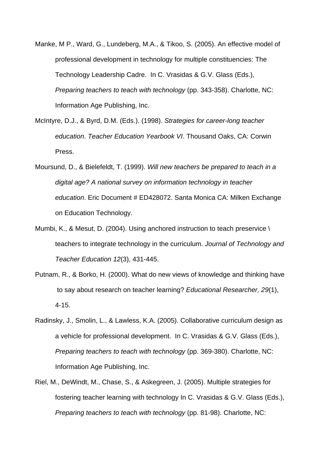- Manke, M P., Ward, G., Lundeberg, M.A., & Tikoo, S. (2005). An effective model of professional development in technology for multiple constituencies: The Technology Leadership Cadre. In C. Vrasidas & G.V. Glass (Eds.), *Preparing teachers to teach with technology* (pp. 343-358). Charlotte, NC: Information Age Publishing, Inc.
- McIntyre, D.J., & Byrd, D.M. (Eds.). (1998). *Strategies for career-long teacher education*. *Teacher Education Yearbook VI*. Thousand Oaks, CA: Corwin Press.
- Moursund, D., & Bielefeldt, T. (1999). *Will new teachers be prepared to teach in a digital age? A national survey on information technology in teacher education*. Eric Document # ED428072. Santa Monica CA: Milken Exchange on Education Technology.
- Mumbi, K., & Mesut, D. (2004). Using anchored instruction to teach preservice \ teachers to integrate technology in the curriculum. *Journal of Technology and Teacher Education 12*(3), 431-445.
- Putnam, R., & Borko, H. (2000). What do new views of knowledge and thinking have to say about research on teacher learning? *Educational Researcher, 29*(1), 4-15.
- Radinsky, J., Smolin, L., & Lawless, K.A. (2005). Collaborative curriculum design as a vehicle for professional development. In C. Vrasidas & G.V. Glass (Eds.), *Preparing teachers to teach with technology* (pp. 369-380). Charlotte, NC: Information Age Publishing, Inc.
- Riel, M., DeWindt, M., Chase, S., & Askegreen, J. (2005). Multiple strategies for fostering teacher learning with technology In C. Vrasidas & G.V. Glass (Eds.), *Preparing teachers to teach with technology* (pp. 81-98). Charlotte, NC: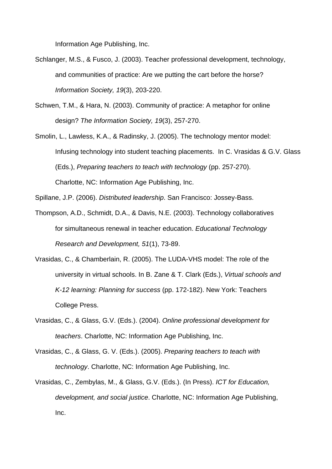Information Age Publishing, Inc.

- Schlanger, M.S., & Fusco, J. (2003). Teacher professional development, technology, and communities of practice: Are we putting the cart before the horse? *Information Society, 19*(3), 203-220.
- Schwen, T.M., & Hara, N. (2003). Community of practice: A metaphor for online design? *The Information Society, 19*(3), 257-270.
- Smolin, L., Lawless, K.A., & Radinsky, J. (2005). The technology mentor model: Infusing technology into student teaching placements. In C. Vrasidas & G.V. Glass (Eds.), *Preparing teachers to teach with technology* (pp. 257-270). Charlotte, NC: Information Age Publishing, Inc.

Spillane, J.P. (2006). *Distributed leadership*. San Francisco: Jossey-Bass.

- Thompson, A.D., Schmidt, D.A., & Davis, N.E. (2003). Technology collaboratives for simultaneous renewal in teacher education. *Educational Technology Research and Development, 51*(1), 73-89.
- Vrasidas, C., & Chamberlain, R. (2005). The LUDA-VHS model: The role of the university in virtual schools. In B. Zane & T. Clark (Eds.), *Virtual schools and K-12 learning: Planning for success* (pp. 172-182). New York: Teachers College Press.
- Vrasidas, C., & Glass, G.V. (Eds.). (2004). *Online professional development for teachers*. Charlotte, NC: Information Age Publishing, Inc.
- Vrasidas, C., & Glass, G. V. (Eds.). (2005). *Preparing teachers to teach with technology*. Charlotte, NC: Information Age Publishing, Inc.
- Vrasidas, C., Zembylas, M., & Glass, G.V. (Eds.). (In Press). *ICT for Education, development, and social justice*. Charlotte, NC: Information Age Publishing, Inc.